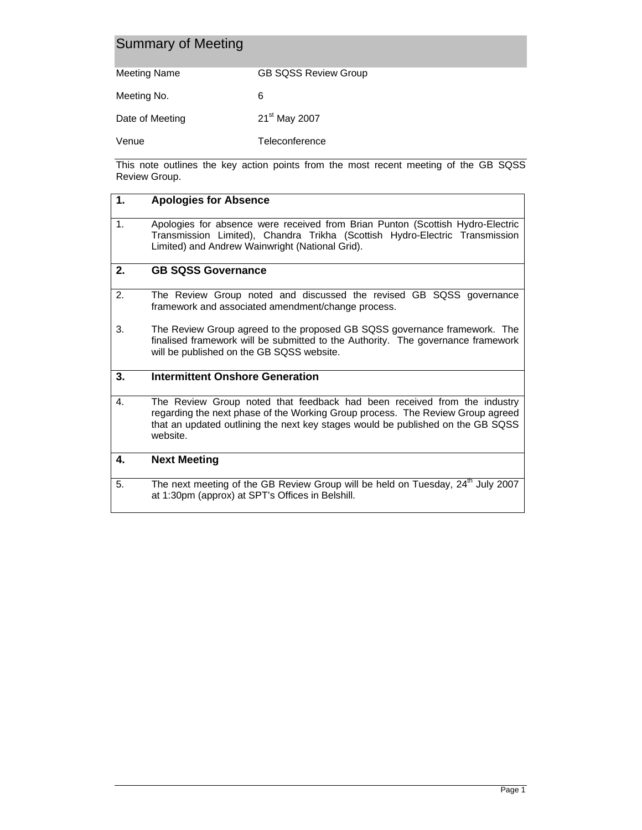| Summary of Meeting |                             |  |
|--------------------|-----------------------------|--|
| Meeting Name       | <b>GB SQSS Review Group</b> |  |
| Meeting No.        | 6                           |  |
| Date of Meeting    | 21 <sup>st</sup> May 2007   |  |

Venue Teleconference

This note outlines the key action points from the most recent meeting of the GB SQSS Review Group.

| 1.           | <b>Apologies for Absence</b>                                                                                                                                                                                                                              |  |
|--------------|-----------------------------------------------------------------------------------------------------------------------------------------------------------------------------------------------------------------------------------------------------------|--|
| 1.           | Apologies for absence were received from Brian Punton (Scottish Hydro-Electric<br>Transmission Limited), Chandra Trikha (Scottish Hydro-Electric Transmission<br>Limited) and Andrew Wainwright (National Grid).                                          |  |
| 2.           | <b>GB SQSS Governance</b>                                                                                                                                                                                                                                 |  |
| 2.           | The Review Group noted and discussed the revised GB SQSS governance<br>framework and associated amendment/change process.                                                                                                                                 |  |
| 3.           | The Review Group agreed to the proposed GB SQSS governance framework. The<br>finalised framework will be submitted to the Authority. The governance framework<br>will be published on the GB SQSS website.                                                |  |
| 3.           | <b>Intermittent Onshore Generation</b>                                                                                                                                                                                                                    |  |
| $\mathbf{4}$ | The Review Group noted that feedback had been received from the industry<br>regarding the next phase of the Working Group process. The Review Group agreed<br>that an updated outlining the next key stages would be published on the GB SQSS<br>website. |  |
| 4.           | <b>Next Meeting</b>                                                                                                                                                                                                                                       |  |
| 5.           | The next meeting of the GB Review Group will be held on Tuesday, 24 <sup>th</sup> July 2007<br>at 1:30pm (approx) at SPT's Offices in Belshill.                                                                                                           |  |